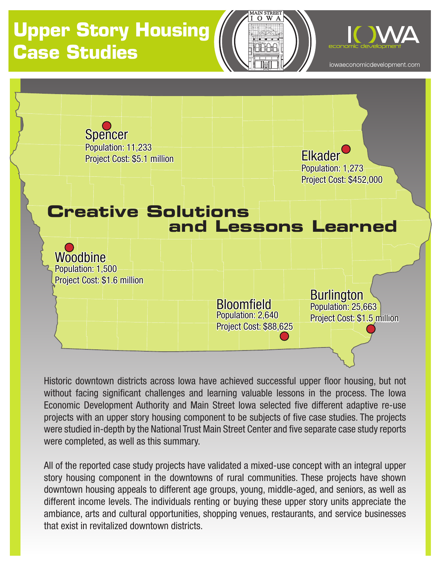# **Upper Story Housing Case Studies**





iowaeconomicdevelopment.com



Historic downtown districts across Iowa have achieved successful upper floor housing, but not without facing significant challenges and learning valuable lessons in the process. The Iowa Economic Development Authority and Main Street Iowa selected five different adaptive re-use projects with an upper story housing component to be subjects of five case studies. The projects were studied in-depth by the National Trust Main Street Center and five separate case study reports were completed, as well as this summary.

All of the reported case study projects have validated a mixed-use concept with an integral upper story housing component in the downtowns of rural communities. These projects have shown downtown housing appeals to different age groups, young, middle-aged, and seniors, as well as different income levels. The individuals renting or buying these upper story units appreciate the ambiance, arts and cultural opportunities, shopping venues, restaurants, and service businesses that exist in revitalized downtown districts.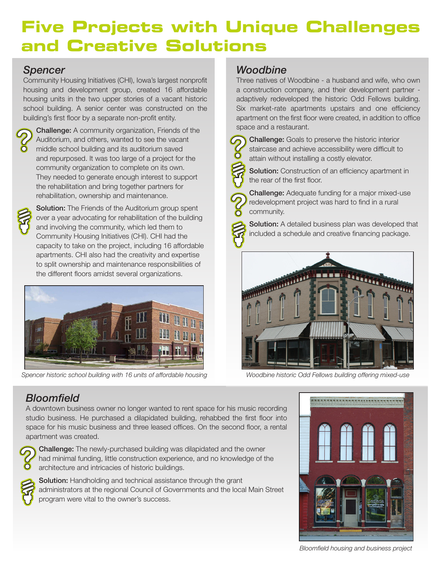## **Five Projects with Unique Challenges and Creative Solutions**

#### *Spencer*

Community Housing Initiatives (CHI), Iowa's largest nonprofit housing and development group, created 16 affordable housing units in the two upper stories of a vacant historic school building. A senior center was constructed on the building's first floor by a separate non-profit entity.



Challenge: A community organization, Friends of the Auditorium, and others, wanted to see the vacant middle school building and its auditorium saved and repurposed. It was too large of a project for the community organization to complete on its own. They needed to generate enough interest to support the rehabilitation and bring together partners for rehabilitation, ownership and maintenance.



**Solution:** The Friends of the Auditorium group spent over a year advocating for rehabilitation of the building and involving the community, which led them to Community Housing Initiatives (CHI). CHI had the capacity to take on the project, including 16 affordable apartments. CHI also had the creativity and expertise to split ownership and maintenance responsibilities of the different floors amidst several organizations.



*Spencer historic school building with 16 units of affordable housing Woodbine historic Odd Fellows building offering mixed-use*

#### *Woodbine*

Three natives of Woodbine - a husband and wife, who own a construction company, and their development partner adaptively redeveloped the historic Odd Fellows building. Six market-rate apartments upstairs and one efficiency apartment on the first floor were created, in addition to office space and a restaurant.



Challenge: Goals to preserve the historic interior staircase and achieve accessibility were difficult to attain without installing a costly elevator.

Solution: Construction of an efficiency apartment in the rear of the first floor.

Challenge: Adequate funding for a major mixed-use redevelopment project was hard to find in a rural community.

Solution: A detailed business plan was developed that included a schedule and creative financing package.



### *Bloomfield*

A downtown business owner no longer wanted to rent space for his music recording studio business. He purchased a dilapidated building, rehabbed the first floor into space for his music business and three leased offices. On the second floor, a rental apartment was created.



Challenge: The newly-purchased building was dilapidated and the owner had minimal funding, little construction experience, and no knowledge of the architecture and intricacies of historic buildings.



Solution: Handholding and technical assistance through the grant administrators at the regional Council of Governments and the local Main Street program were vital to the owner's success.



*Bloomfield housing and business project*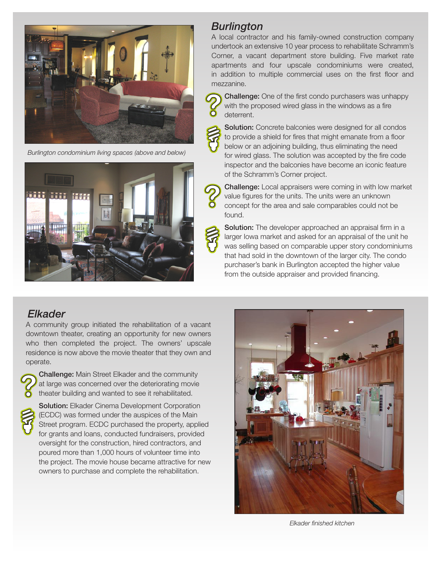

*Burlington condominium living spaces (above and below)*



#### *Burlington*

deterrent.

A local contractor and his family-owned construction company undertook an extensive 10 year process to rehabilitate Schramm's Corner, a vacant department store building. Five market rate apartments and four upscale condominiums were created, in addition to multiple commercial uses on the first floor and mezzanine.

Challenge: One of the first condo purchasers was unhappy with the proposed wired glass in the windows as a fire



Solution: Concrete balconies were designed for all condos to provide a shield for fires that might emanate from a floor below or an adjoining building, thus eliminating the need for wired glass. The solution was accepted by the fire code inspector and the balconies have become an iconic feature of the Schramm's Corner project.

Challenge: Local appraisers were coming in with low market value figures for the units. The units were an unknown concept for the area and sale comparables could not be found.

Solution: The developer approached an appraisal firm in a larger Iowa market and asked for an appraisal of the unit he was selling based on comparable upper story condominiums that had sold in the downtown of the larger city. The condo purchaser's bank in Burlington accepted the higher value from the outside appraiser and provided financing.

#### *Elkader*

A community group initiated the rehabilitation of a vacant downtown theater, creating an opportunity for new owners who then completed the project. The owners' upscale residence is now above the movie theater that they own and operate.



Challenge: Main Street Elkader and the community at large was concerned over the deteriorating movie theater building and wanted to see it rehabilitated.



**Solution:** Elkader Cinema Development Corporation (ECDC) was formed under the auspices of the Main Street program. ECDC purchased the property, applied for grants and loans, conducted fundraisers, provided oversight for the construction, hired contractors, and poured more than 1,000 hours of volunteer time into the project. The movie house became attractive for new owners to purchase and complete the rehabilitation.



*Elkader finished kitchen*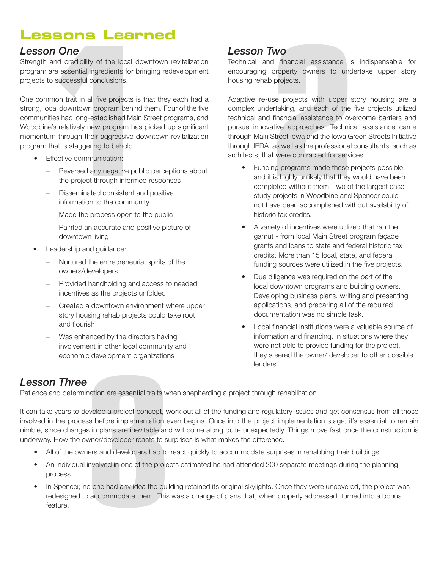## **Lessons Learned**

#### *Lesson One*

Strength and credibility of the local downtown revitalization program are essential ingredients for bringing redevelopment projects to successful conclusions.

**1 2** One common trait in all five projects is that they each had a strong, local downtown program behind them. Four of the five communities had long-established Main Street programs, and Woodbine's relatively new program has picked up significant momentum through their aggressive downtown revitalization program that is staggering to behold.

- **Effective communication:** 
	- Reversed any negative public perceptions about the project through informed responses
	- Disseminated consistent and positive information to the community
	- Made the process open to the public
	- Painted an accurate and positive picture of downtown living
- Leadership and guidance:
	- Nurtured the entrepreneurial spirits of the owners/developers
	- Provided handholding and access to needed incentives as the projects unfolded
	- Created a downtown environment where upper story housing rehab projects could take root and flourish
	- Was enhanced by the directors having involvement in other local community and economic development organizations

#### *Lesson Two*

Technical and financial assistance is indispensable for encouraging property owners to undertake upper story housing rehab projects.

Adaptive re-use projects with upper story housing are a complex undertaking, and each of the five projects utilized technical and financial assistance to overcome barriers and pursue innovative approaches. Technical assistance came through Main Street Iowa and the Iowa Green Streets Initiative through IEDA, as well as the professional consultants, such as architects, that were contracted for services.

- Funding programs made these projects possible, and it is highly unlikely that they would have been completed without them. Two of the largest case study projects in Woodbine and Spencer could not have been accomplished without availability of historic tax credits.
- A variety of incentives were utilized that ran the gamut - from local Main Street program façade grants and loans to state and federal historic tax credits. More than 15 local, state, and federal funding sources were utilized in the five projects.
- Due diligence was required on the part of the local downtown programs and building owners. Developing business plans, writing and presenting applications, and preparing all of the required documentation was no simple task.
- • Local financial institutions were a valuable source of information and financing. In situations where they were not able to provide funding for the project, they steered the owner/ developer to other possible lenders.

### *Lesson Three*

Patience and determination are essential traits when shepherding a project through rehabilitation.

**3** It can take years to develop a project concept, work out all of the funding and regulatory issues and get consensus from all those involved in the process before implementation even begins. Once into the project implementation stage, it's essential to remain nimble, since changes in plans are inevitable and will come along quite unexpectedly. Things move fast once the construction is underway. How the owner/developer reacts to surprises is what makes the difference.

- All of the owners and developers had to react quickly to accommodate surprises in rehabbing their buildings.
- An individual involved in one of the projects estimated he had attended 200 separate meetings during the planning process.
- In Spencer, no one had any idea the building retained its original skylights. Once they were uncovered, the project was redesigned to accommodate them. This was a change of plans that, when properly addressed, turned into a bonus feature.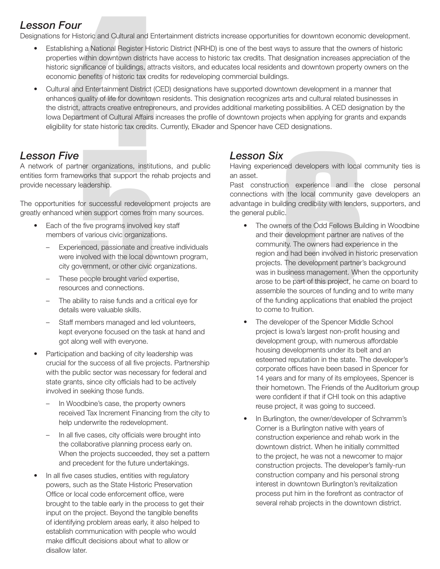#### *Lesson Four*

Designations for Historic and Cultural and Entertainment districts increase opportunities for downtown economic development.

- Establishing a National Register Historic District (NRHD) is one of the best ways to assure that the owners of historic properties within downtown districts have access to historic tax credits. That designation increases appreciation of the historic significance of buildings, attracts visitors, and educates local residents and downtown property owners on the economic benefits of historic tax credits for redeveloping commercial buildings.
- **Historic and Cultural and Ent**<br>
Historic and Cultural and Ent<br>
hing a National Register Histor<br>
es within downtown districts I<br>
significance of buildings, attractic benefits of historic tax crea<br>
and Entertainment Distric • Cultural and Entertainment District (CED) designations have supported downtown development in a manner that enhances quality of life for downtown residents. This designation recognizes arts and cultural related businesses in the district, attracts creative entrepreneurs, and provides additional marketing possibilities. A CED designation by the Iowa Department of Cultural Affairs increases the profile of downtown projects when applying for grants and expands eligibility for state historic tax credits. Currently, Elkader and Spencer have CED designations.

A network of partner organizations, institutions, and public entities form frameworks that support the rehab projects and provide necessary leadership.

The opportunities for successful redevelopment projects are greatly enhanced when support comes from many sources.

- Each of the five programs involved key staff members of various civic organizations.
	- Experienced, passionate and creative individuals were involved with the local downtown program, city government, or other civic organizations.
	- These people brought varied expertise, resources and connections.
	- The ability to raise funds and a critical eye for details were valuable skills.
	- Staff members managed and led volunteers, kept everyone focused on the task at hand and got along well with everyone.
- Participation and backing of city leadership was crucial for the success of all five projects. Partnership with the public sector was necessary for federal and state grants, since city officials had to be actively involved in seeking those funds.
	- In Woodbine's case, the property owners received Tax Increment Financing from the city to help underwrite the redevelopment.
	- In all five cases, city officials were brought into the collaborative planning process early on. When the projects succeeded, they set a pattern and precedent for the future undertakings.
- In all five cases studies, entities with regulatory powers, such as the State Historic Preservation Office or local code enforcement office, were brought to the table early in the process to get their input on the project. Beyond the tangible benefits of identifying problem areas early, it also helped to establish communication with people who would make difficult decisions about what to allow or disallow later.

#### *Lesson Six*

Having experienced developers with local community ties is an asset.

Past construction experience and the close personal connections with the local community gave developers an advantage in building credibility with lenders, supporters, and the general public.

- **ECOLUS CONFIVE**<br>
A retwork of partner organizations, institutions, and public  $\mu$  and asset.<br>
A retwork of partner organizations, institutions, and public  $\mu$  and asset.<br>
provide necessary leadership.<br>
The opportunities • The owners of the Odd Fellows Building in Woodbine and their development partner are natives of the community. The owners had experience in the region and had been involved in historic preservation projects. The development partner's background was in business management. When the opportunity arose to be part of this project, he came on board to assemble the sources of funding and to write many of the funding applications that enabled the project to come to fruition.
	- The developer of the Spencer Middle School project is Iowa's largest non-profit housing and development group, with numerous affordable housing developments under its belt and an esteemed reputation in the state. The developer's corporate offices have been based in Spencer for 14 years and for many of its employees, Spencer is their hometown. The Friends of the Auditorium group were confident if that if CHI took on this adaptive reuse project, it was going to succeed.
	- In Burlington, the owner/developer of Schramm's Corner is a Burlington native with years of construction experience and rehab work in the downtown district. When he initially committed to the project, he was not a newcomer to major construction projects. The developer's family-run construction company and his personal strong interest in downtown Burlington's revitalization process put him in the forefront as contractor of several rehab projects in the downtown district.